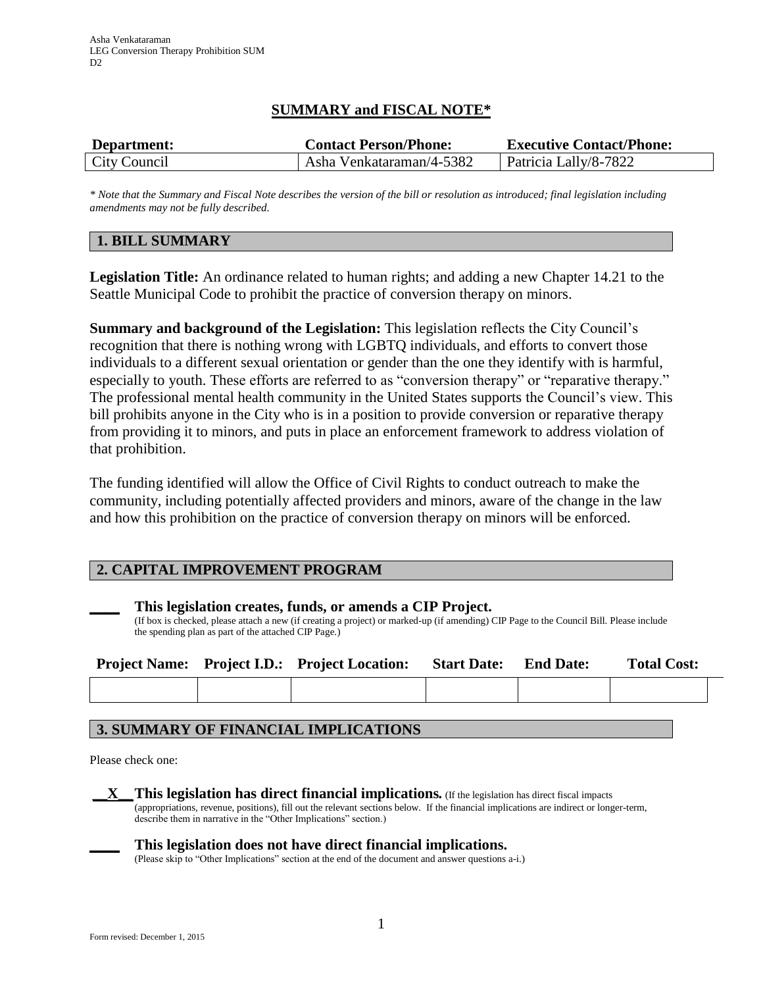# **SUMMARY and FISCAL NOTE\***

| Department:  | <b>Contact Person/Phone:</b> | <b>Executive Contact/Phone:</b> |  |  |
|--------------|------------------------------|---------------------------------|--|--|
| City Council | Asha Venkataraman/4-5382     | Patricia Lally/8-7822           |  |  |

*\* Note that the Summary and Fiscal Note describes the version of the bill or resolution as introduced; final legislation including amendments may not be fully described.*

## **1. BILL SUMMARY**

**Legislation Title:** An ordinance related to human rights; and adding a new Chapter 14.21 to the Seattle Municipal Code to prohibit the practice of conversion therapy on minors.

**Summary and background of the Legislation:** This legislation reflects the City Council's recognition that there is nothing wrong with LGBTQ individuals, and efforts to convert those individuals to a different sexual orientation or gender than the one they identify with is harmful, especially to youth. These efforts are referred to as "conversion therapy" or "reparative therapy." The professional mental health community in the United States supports the Council's view. This bill prohibits anyone in the City who is in a position to provide conversion or reparative therapy from providing it to minors, and puts in place an enforcement framework to address violation of that prohibition.

The funding identified will allow the Office of Civil Rights to conduct outreach to make the community, including potentially affected providers and minors, aware of the change in the law and how this prohibition on the practice of conversion therapy on minors will be enforced.

# **2. CAPITAL IMPROVEMENT PROGRAM**

#### **\_\_\_\_ This legislation creates, funds, or amends a CIP Project.**

(If box is checked, please attach a new (if creating a project) or marked-up (if amending) CIP Page to the Council Bill. Please include the spending plan as part of the attached CIP Page.)

|  | <b>Project Name:</b> Project I.D.: Project Location: | <b>Start Date:</b> | <b>End Date:</b> | <b>Total Cost:</b> |
|--|------------------------------------------------------|--------------------|------------------|--------------------|
|  |                                                      |                    |                  |                    |

# **3. SUMMARY OF FINANCIAL IMPLICATIONS**

Please check one:

**\_\_X\_\_This legislation has direct financial implications***.* (If the legislation has direct fiscal impacts (appropriations, revenue, positions), fill out the relevant sections below. If the financial implications are indirect or longer-term, describe them in narrative in the "Other Implications" section.)



**\_\_\_\_ This legislation does not have direct financial implications.**

(Please skip to "Other Implications" section at the end of the document and answer questions a-i.)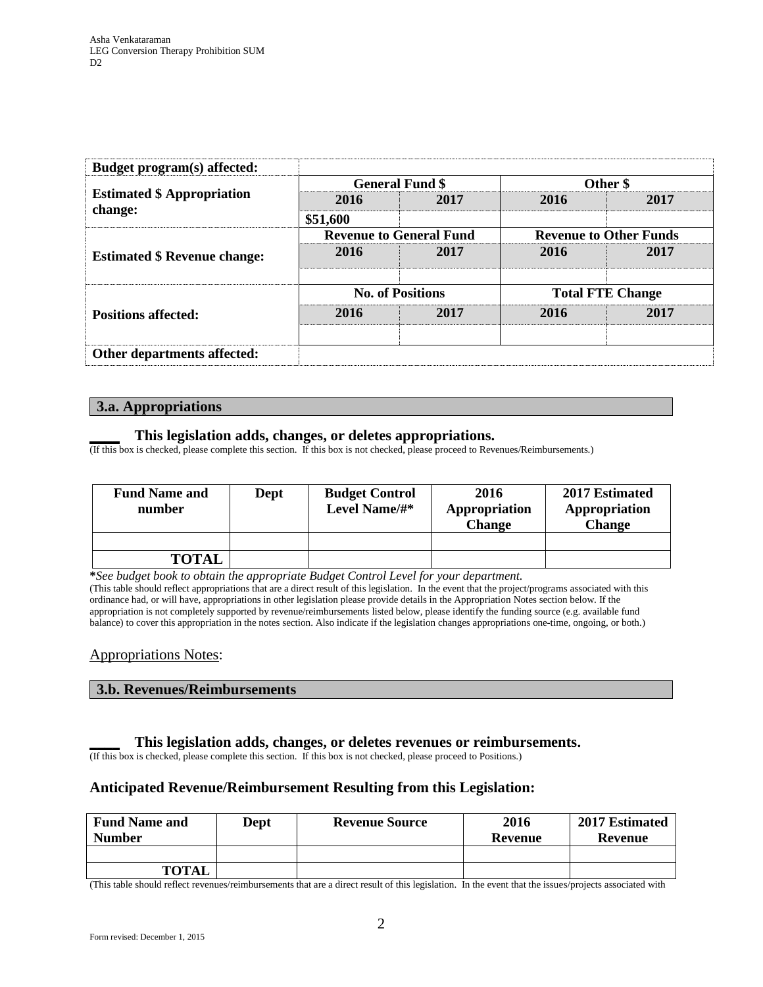| Budget program(s) affected:         |                                |                        |                               |      |  |
|-------------------------------------|--------------------------------|------------------------|-------------------------------|------|--|
| <b>Estimated \$ Appropriation</b>   |                                | <b>General Fund \$</b> | Other \$                      |      |  |
|                                     | 2016                           | 2017                   | 2016                          | 2017 |  |
| change:                             | \$51,600                       |                        |                               |      |  |
| <b>Estimated \$ Revenue change:</b> | <b>Revenue to General Fund</b> |                        | <b>Revenue to Other Funds</b> |      |  |
|                                     | 2016                           | 2017                   | 2016                          | 2017 |  |
|                                     | <b>No. of Positions</b>        |                        | <b>Total FTE Change</b>       |      |  |
| <b>Positions affected:</b>          | 2016                           | 2017                   | 2016                          | 2017 |  |
|                                     |                                |                        |                               |      |  |
| Other departments affected:         |                                |                        |                               |      |  |

## **3.a. Appropriations**

## **\_\_\_\_ This legislation adds, changes, or deletes appropriations.**

(If this box is checked, please complete this section. If this box is not checked, please proceed to Revenues/Reimbursements.)

| <b>Fund Name and</b><br>number | Dept | <b>Budget Control</b><br>Level Name/#* | 2016<br>Appropriation<br><b>Change</b> | 2017 Estimated<br>Appropriation<br><b>Change</b> |
|--------------------------------|------|----------------------------------------|----------------------------------------|--------------------------------------------------|
|                                |      |                                        |                                        |                                                  |
| <b>TOTAL</b>                   |      |                                        |                                        |                                                  |

**\****See budget book to obtain the appropriate Budget Control Level for your department.*

(This table should reflect appropriations that are a direct result of this legislation. In the event that the project/programs associated with this ordinance had, or will have, appropriations in other legislation please provide details in the Appropriation Notes section below. If the appropriation is not completely supported by revenue/reimbursements listed below, please identify the funding source (e.g. available fund balance) to cover this appropriation in the notes section. Also indicate if the legislation changes appropriations one-time, ongoing, or both.)

#### Appropriations Notes:

#### **3.b. Revenues/Reimbursements**

#### **\_\_\_\_ This legislation adds, changes, or deletes revenues or reimbursements.**

(If this box is checked, please complete this section. If this box is not checked, please proceed to Positions.)

## **Anticipated Revenue/Reimbursement Resulting from this Legislation:**

| <b>Fund Name and</b><br><b>Number</b> | Dept | <b>Revenue Source</b> | 2016<br>Revenue | 2017 Estimated<br>Revenue |
|---------------------------------------|------|-----------------------|-----------------|---------------------------|
|                                       |      |                       |                 |                           |
| <b>TOTAL</b>                          |      |                       |                 |                           |

(This table should reflect revenues/reimbursements that are a direct result of this legislation. In the event that the issues/projects associated with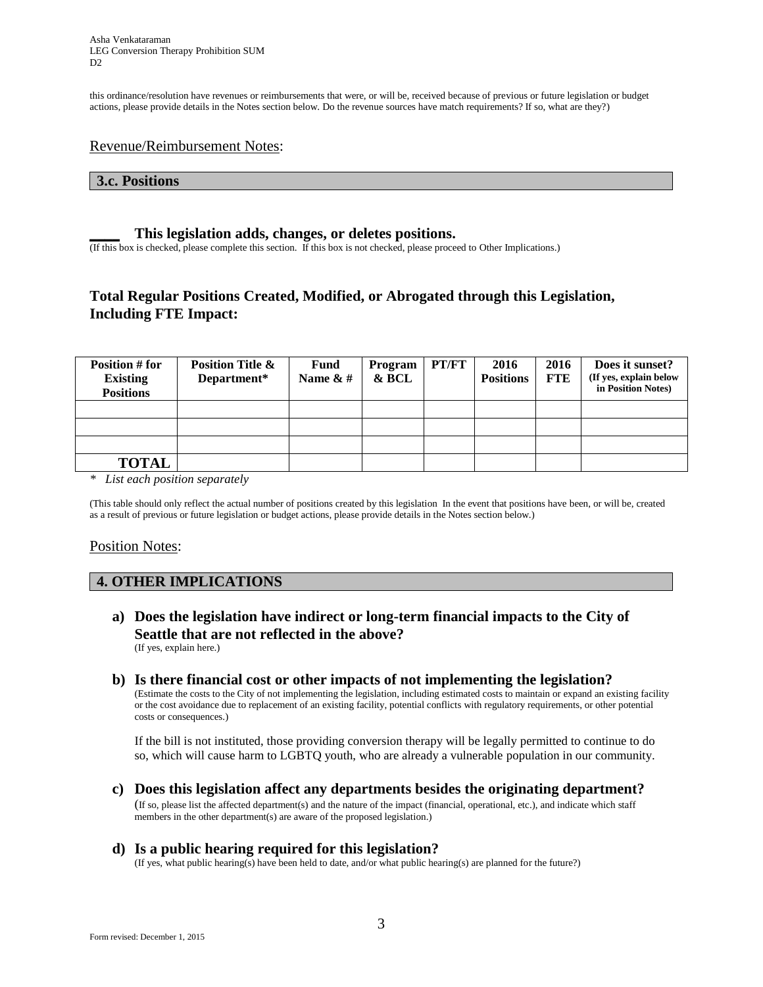this ordinance/resolution have revenues or reimbursements that were, or will be, received because of previous or future legislation or budget actions, please provide details in the Notes section below. Do the revenue sources have match requirements? If so, what are they?)

#### Revenue/Reimbursement Notes:

## **3.c. Positions**

### **\_\_\_\_ This legislation adds, changes, or deletes positions.**

(If this box is checked, please complete this section. If this box is not checked, please proceed to Other Implications.)

# **Total Regular Positions Created, Modified, or Abrogated through this Legislation, Including FTE Impact:**

| <b>Position # for</b><br><b>Existing</b><br><b>Positions</b> | <b>Position Title &amp;</b><br>Department* | <b>Fund</b><br>Name $&#</math></th><th>Program<br>& BCL</th><th>PT/FT</th><th>2016<br><b>Positions</b></th><th>2016<br><b>FTE</b></th><th>Does it sunset?<br>(If yes, explain below<br>in Position Notes)</th></tr><tr><td></td><td></td><td></td><td></td><td></td><td></td><td></td><td></td></tr><tr><td></td><td></td><td></td><td></td><td></td><td></td><td></td><td></td></tr><tr><td></td><td></td><td></td><td></td><td></td><td></td><td></td><td></td></tr><tr><td><b>TOTAL</b></td><td></td><td></td><td></td><td></td><td></td><td></td><td></td></tr></tbody></table>$ |
|--------------------------------------------------------------|--------------------------------------------|--------------------------------------------------------------------------------------------------------------------------------------------------------------------------------------------------------------------------------------------------------------------------------------------------------------------------------------------------------------------------------------------------------------------------------------------------------------------------------------------------------------------------------------------------------------------------------------|
|--------------------------------------------------------------|--------------------------------------------|--------------------------------------------------------------------------------------------------------------------------------------------------------------------------------------------------------------------------------------------------------------------------------------------------------------------------------------------------------------------------------------------------------------------------------------------------------------------------------------------------------------------------------------------------------------------------------------|

*\* List each position separately*

(This table should only reflect the actual number of positions created by this legislation In the event that positions have been, or will be, created as a result of previous or future legislation or budget actions, please provide details in the Notes section below.)

## Position Notes:

## **4. OTHER IMPLICATIONS**

- **a) Does the legislation have indirect or long-term financial impacts to the City of Seattle that are not reflected in the above?** (If yes, explain here.)
- **b) Is there financial cost or other impacts of not implementing the legislation?** (Estimate the costs to the City of not implementing the legislation, including estimated costs to maintain or expand an existing facility or the cost avoidance due to replacement of an existing facility, potential conflicts with regulatory requirements, or other potential costs or consequences.)

If the bill is not instituted, those providing conversion therapy will be legally permitted to continue to do so, which will cause harm to LGBTQ youth, who are already a vulnerable population in our community.

**c) Does this legislation affect any departments besides the originating department?**  (If so, please list the affected department(s) and the nature of the impact (financial, operational, etc.), and indicate which staff members in the other department(s) are aware of the proposed legislation.)

#### **d) Is a public hearing required for this legislation?**

(If yes, what public hearing(s) have been held to date, and/or what public hearing(s) are planned for the future?)